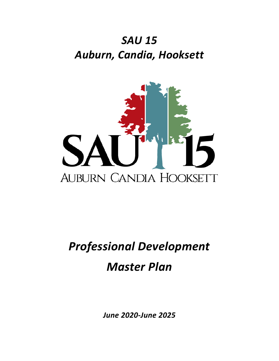## *SAU 15 Auburn, Candia, Hooksett*



# *Professional Development Master Plan*

*June 2020-June 2025*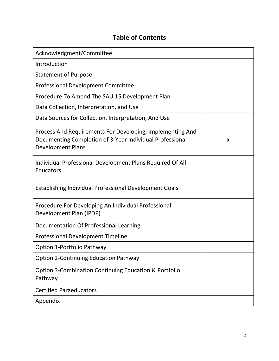## **Table of Contents**

| Acknowledgment/Committee                                                                                                                          |   |
|---------------------------------------------------------------------------------------------------------------------------------------------------|---|
| Introduction                                                                                                                                      |   |
| <b>Statement of Purpose</b>                                                                                                                       |   |
| <b>Professional Development Committee</b>                                                                                                         |   |
| Procedure To Amend The SAU 15 Development Plan                                                                                                    |   |
| Data Collection, Interpretation, and Use                                                                                                          |   |
| Data Sources for Collection, Interpretation, And Use                                                                                              |   |
| Process And Requirements For Developing, Implementing And<br>Documenting Completion of 3-Year Individual Professional<br><b>Development Plans</b> | X |
| Individual Professional Development Plans Required Of All<br>Educators                                                                            |   |
| <b>Establishing Individual Professional Development Goals</b>                                                                                     |   |
| Procedure For Developing An Individual Professional<br>Development Plan (IPDP)                                                                    |   |
| Documentation Of Professional Learning                                                                                                            |   |
| <b>Professional Development Timeline</b>                                                                                                          |   |
| <b>Option 1-Portfolio Pathway</b>                                                                                                                 |   |
| <b>Option 2-Continuing Education Pathway</b>                                                                                                      |   |
| <b>Option 3-Combination Continuing Education &amp; Portfolio</b><br>Pathway                                                                       |   |
| <b>Certified Paraeducators</b>                                                                                                                    |   |
| Appendix                                                                                                                                          |   |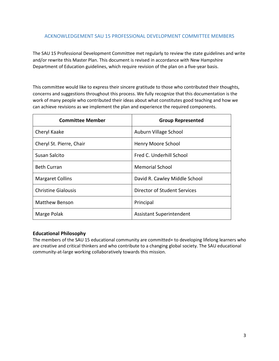## ACKNOWLEDGEMENT SAU 15 PROFESSIONAL DEVELOPMENT COMMITTEE MEMBERS

The SAU 15 Professional Development Committee met regularly to review the state guidelines and write and/or rewrite this Master Plan. This document is revised in accordance with New Hampshire Department of Education guidelines, which require revision of the plan on a five-year basis.

This committee would like to express their sincere gratitude to those who contributed their thoughts, concerns and suggestions throughout this process. We fully recognize that this documentation is the work of many people who contributed their ideas about what constitutes good teaching and how we can achieve revisions as we implement the plan and experience the required components.

| <b>Committee Member</b>    | <b>Group Represented</b>        |
|----------------------------|---------------------------------|
| Cheryl Kaake               | Auburn Village School           |
| Cheryl St. Pierre, Chair   | Henry Moore School              |
| Susan Salcito              | Fred C. Underhill School        |
| <b>Beth Curran</b>         | <b>Memorial School</b>          |
| <b>Margaret Collins</b>    | David R. Cawley Middle School   |
| <b>Christine Gialousis</b> | Director of Student Services    |
| <b>Matthew Benson</b>      | Principal                       |
| Marge Polak                | <b>Assistant Superintendent</b> |

## **Educational Philosophy**

The members of the SAU 15 educational community are committed+ to developing lifelong learners who are creative and critical thinkers and who contribute to a changing global society. The SAU educational community-at-large working collaboratively towards this mission.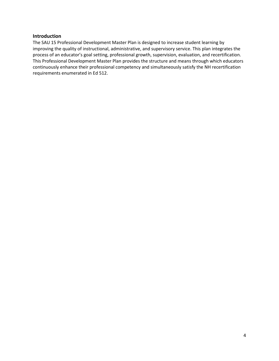## **Introduction**

The SAU 15 Professional Development Master Plan is designed to increase student learning by improving the quality of instructional, administrative, and supervisory service. This plan integrates the process of an educator's goal setting, professional growth, supervision, evaluation, and recertification. This Professional Development Master Plan provides the structure and means through which educators continuously enhance their professional competency and simultaneously satisfy the NH recertification requirements enumerated in Ed 512.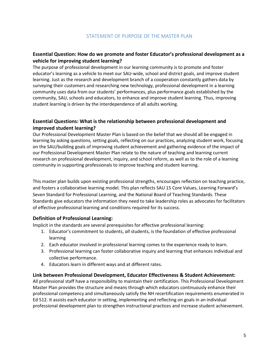## **Essential Question: How do we promote and foster Educator's professional development as a vehicle for improving student learning?**

The purpose of professional development in our learning community is to promote and foster educator's learning as a vehicle to meet our SAU-wide, school and district goals, and improve student learning. Just as the research and development branch of a cooperation constantly gathers data by surveying their customers and researching new technology, professional development in a learning community uses data from our students' performances, plus performance goals established by the community, SAU, schools and educators, to enhance and improve student learning. Thus, improving student learning is driven by the interdependence of all adults working.

## **Essential Questions: What is the relationship between professional development and improved student learning?**

Our Professional Development Master Plan is based on the belief that we should all be engaged in learning by asking questions, setting goals, reflecting on our practices, analyzing student work, focusing on the SAU/building goals of improving student achievement and gathering evidence of the impact of our Professional Development Master Plan relate to the nature of teaching and learning current research on professional development, inquiry, and school reform, as well as to the role of a learning community in supporting professionals to improve teaching and student learning.

This master plan builds upon existing professional strengths, encourages reflection on teaching practice, and fosters a collaborative learning model. This plan reflects SAU 15 Core Values, Learning Forward's Seven Standard for Professional Learning, and the National Board of Teaching Standards. These Standards give educators the information they need to take leadership roles as advocates for facilitators of effective professional learning and conditions required for its success.

## **Definition of Professional Learning:**

Implicit in the standards are several prerequisites for effective professional learning:

- 1. Educator's commitment to students, *all* students, is the foundation of effective professional learning
- 2. Each educator involved in professional learning comes to the experience ready to learn.
- 3. Professional learning can foster collaborative inquiry and learning that enhances individual and collective performance.
- 4. Educators learn in different ways and at different rates.

## **Link between Professional Development, Educator Effectiveness & Student Achievement:**

All professional staff have a responsibility to maintain their certification. This Professional Development Master Plan provides the structure and means through which educators continuously enhance their professional competency and simultaneously satisfy the NH recertification requirements enumerated in Ed 512. It assists each educator in setting, implementing and reflecting on goals in an individual professional development plan to strengthen instructional practices and increase student achievement.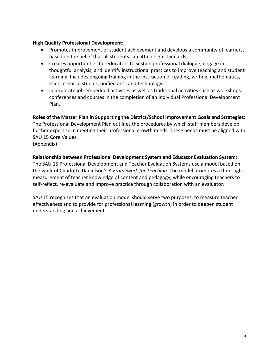## **High Quality Professional Development:**

- Promotes improvement of student achievement and develops a community of learners, based on the belief that all students can attain high standards.
- Creates opportunities for educators to sustain professional dialogue, engage in thoughtful analysis, and identify instructional practices to improve teaching and student learning. Includes ongoing training in the instruction of reading, writing, mathematics, science, social studies, unified arts, and technology.
- Incorporate job-embedded activities as well as traditional activities such as workshops, conferences and courses in the completion of an Individual Professional Development Plan.

**Roles of the Master Plan in Supporting the District/School Improvement Goals and Strategies:** The Professional Development Plan outlines the procedures by which staff members develop further expertise in meeting their professional growth needs. These needs must be aligned with SAU 15 Core Values. (Appendix)

## **Relationship between Professional Development System and Educator Evaluation System:**

The SAU 15 Professional Development and Teacher Evaluation Systems use a model based on the work of Charlotte Danielson's *A Framework for Teaching*. The model promotes a thorough measurement of teacher knowledge of content and pedagogy, while encouraging teachers to self-reflect, re-evaluate and improve practice through collaboration with an evaluator.

SAU 15 recognizes that an evaluation model should serve two purposes: to measure teacher effectiveness and to provide for professional learning (growth) in order to deepen student understanding and achievement.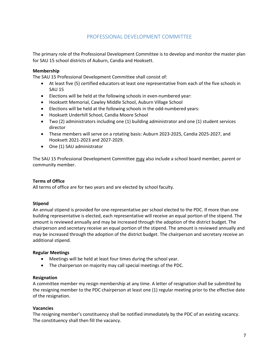## PROFESSIONAL DEVELOPMENT COMMITTEE

The primary role of the Professional Development Committee is to develop and monitor the master plan for SAU 15 school districts of Auburn, Candia and Hooksett.

## **Membership**

The SAU 15 Professional Development Committee shall consist of:

- At least five (5) certified educators-at least one representative from each of the five schools in SAU 15
- Elections will be held at the following schools in even-numbered year:
- Hooksett Memorial, Cawley Middle School, Auburn Village School
- Elections will be held at the following schools in the odd-numbered years:
- Hooksett Underhill School, Candia Moore School
- Two (2) administrators including one (1) building administrator and one (1) student services director
- These members will serve on a rotating basis: Auburn 2023-2025, Candia 2025-2027, and Hooksett 2021-2023 and 2027-2029.
- One (1) SAU administrator

The SAU 15 Professional Development Committee may also include a school board member, parent or community member.

## **Terms of Office**

All terms of office are for two years and are elected by school faculty.

## **Stipend**

An annual stipend is provided for one-representative per school elected to the PDC. If more than one building representative is elected, each representative will receive an equal portion of the stipend. The amount is reviewed annually and may be increased through the adoption of the district budget. The chairperson and secretary receive an equal portion of the stipend. The amount is reviewed annually and may be increased through the adoption of the district budget. The chairperson and secretary receive an additional stipend.

## **Regular Meetings**

- Meetings will be held at least four times during the school year.
- The chairperson on majority may call special meetings of the PDC.

## **Resignation**

A committee member my resign membership at any time. A letter of resignation shall be submitted by the resigning member to the PDC chairperson at least one (1) regular meeting prior to the effective date of the resignation.

## **Vacancies**

The resigning member's constituency shall be notified immediately by the PDC of an existing vacancy. The constituency shall then fill the vacancy.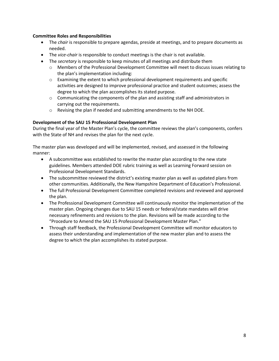## **Committee Roles and Responsibilities**

- The *chair* is responsible to prepare agendas, preside at meetings, and to prepare documents as needed.
- The *vice-chair* is responsible to conduct meetings is the chair is not available.
- The *secretary* is responsible to keep minutes of all meetings and distribute them
	- o Members of the Professional Development Committee will meet to discuss issues relating to the plan's implementation including:
	- o Examining the extent to which professional development requirements and specific activities are designed to improve professional practice and student outcomes; assess the degree to which the plan accomplishes its stated purpose.
	- $\circ$  Communicating the components of the plan and assisting staff and administrators in carrying out the requirements.
	- o Revising the plan if needed and submitting amendments to the NH DOE.

## **Development of the SAU 15 Professional Development Plan**

During the final year of the Master Plan's cycle, the committee reviews the plan's components, confers with the State of NH and revises the plan for the next cycle.

The master plan was developed and will be implemented, revised, and assessed in the following manner:

- A subcommittee was established to rewrite the master plan according to the new state guidelines. Members attended DOE rubric training as well as Learning Forward session on Professional Development Standards.
- The subcommittee reviewed the district's existing master plan as well as updated plans from other communities. Additionally, the New Hampshire Department of Education's Professional.
- The full Professional Development Committee completed revisions and reviewed and approved the plan.
- The Professional Development Committee will continuously monitor the implementation of the master plan. Ongoing changes due to SAU 15 needs or federal/state mandates will drive necessary refinements and revisions to the plan. Revisions will be made according to the "Procedure to Amend the SAU 15 Professional Development Master Plan."
- Through staff feedback, the Professional Development Committee will monitor educators to assess their understanding and implementation of the new master plan and to assess the degree to which the plan accomplishes its stated purpose.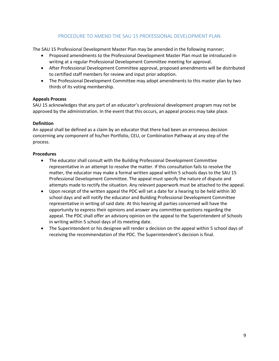## PROCEDURE TO AMEND THE SAU 15 PROFESSIONAL DEVELOPMENT PLAN

The SAU 15 Professional Development Master Plan may be amended in the following manner;

- Proposed amendments to the Professional Development Master Plan must be introduced in writing at a regular Professional Development Committee meeting for approval.
- After Professional Development Committee approval, proposed amendments will be distributed to certified staff members for review and input prior adoption.
- The Professional Development Committee may adopt amendments to this master plan by two thirds of its voting membership.

## **Appeals Process**

SAU 15 acknowledges that any part of an educator's professional development program may not be approved by the administration. In the event that this occurs, an appeal process may take place.

## **Definition**

An appeal shall be defined as a claim by an educator that there had been an erroneous decision concerning any component of his/her Portfolio, CEU, or Combination Pathway at any step of the process.

## **Procedures**

- The educator shall consult with the Building Professional Development Committee representative in an attempt to resolve the matter. If this consultation fails to resolve the matter, the educator may make a formal written appeal within 5 schools days to the SAU 15 Professional Development Committee. The appeal must specify the nature of dispute and attempts made to rectify the situation. Any relevant paperwork must be attached to the appeal.
- Upon receipt of the written appeal the PDC will set a date for a hearing to be held within 30 school days and will notify the educator and Building Professional Development Committee representative in writing of said date. At this hearing all parties concerned will have the opportunity to express their opinions and answer any committee questions regarding the appeal. The PDC shall offer an advisory opinion on the appeal to the Superintendent of Schools in writing within 5 school days of its meeting date.
- The Superintendent or his designee will render a decision on the appeal within 5 school days of receiving the recommendation of the PDC. The Superintendent's decision is final.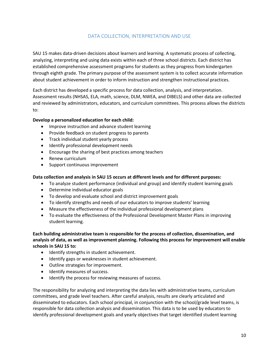## DATA COLLECTION, INTERPRETATION AND USE

SAU 15 makes data-driven decisions about learners and learning. A systematic process of collecting, analyzing, interpreting and using data exists within each of three school districts. Each district has established comprehensive assessment programs for students as they progress from kindergarten through eighth grade. The primary purpose of the assessment system is to collect accurate information about student achievement in order to inform instruction and strengthen instructional practices.

Each district has developed a specific process for data collection, analysis, and interpretation. Assessment results (NHSAS, ELA, math, science, DLM, NWEA, and DIBELS) and other data are collected and reviewed by administrators, educators, and curriculum committees. This process allows the districts to:

## **Develop a personalized education for each child:**

- Improve instruction and advance student learning
- Provide feedback on student progress to parents
- Track individual student yearly process
- Identify professional development needs
- Encourage the sharing of best practices among teachers
- Renew curriculum
- Support continuous improvement

## **Data collection and analysis in SAU 15 occurs at different levels and for different purposes:**

- To analyze student performance (individual and group) and identify student learning goals
- Determine individual educator goals
- To develop and evaluate school and district improvement goals
- To identify strengths and needs of our educators to improve students' learning
- Measure the effectiveness of the individual professional development plans
- To evaluate the effectiveness of the Professional Development Master Plans in improving student learning.

## **Each building administrative team is responsible for the process of collection, dissemination, and analysis of data, as well as improvement planning. Following this process for improvement will enable schools in SAU 15 to:**

- Identify strengths in student achievement.
- Identify gaps or weaknesses in student achievement.
- Outline strategies for improvement.
- Identify measures of success.
- Identify the process for reviewing measures of success.

The responsibility for analyzing and interpreting the data lies with administrative teams, curriculum committees, and grade level teachers. After careful analysis, results are clearly articulated and disseminated to educators. Each school principal, in conjunction with the school/grade level teams, is responsible for data collection analysis and dissemination. This data is to be used by educators to identify professional development goals and yearly objectives that target identified student learning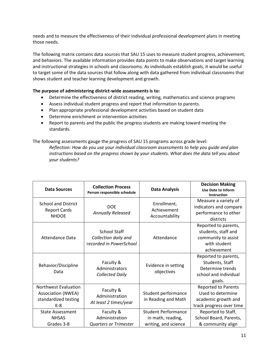needs and to measure the effectiveness of their individual professional development plans in meeting those needs.

The following matrix contains data sources that SAU 15 uses to measure student progress, achievement, and behaviors. The available information provides data points to make observations and target learning and instructional strategies in schools and classrooms. As individuals establish goals, it would be useful to target some of the data sources that follow along with data gathered from individual classrooms that shows student and teacher learning development and growth.

## **The purpose of administering district-wide assessments is to:**

- Determine the effectiveness of district reading, writing, mathematics and science programs
- Assess individual student progress and report that information to parents.
- Plan appropriate professional development activities based on student data
- Determine enrichment or intervention activities
- Report to parents and the public the progress students are making toward meeting the standards.

The following assessments gauge the progress of SAU 15 programs across grade level:

*Reflection: How do you use your individual classroom assessments to help you guide and plan instructions based on the progress shown by your students. What does the data tell you about your students?*

| <b>Data Sources</b>                                                                | <b>Collection Process</b><br>Person responsible schedule               | <b>Data Analysis</b>                                                    | <b>Decision Making</b><br><b>Use Date to Inform</b><br><b>Instruction</b>                          |
|------------------------------------------------------------------------------------|------------------------------------------------------------------------|-------------------------------------------------------------------------|----------------------------------------------------------------------------------------------------|
| <b>School and District</b><br><b>Report Cards</b><br><b>NHDOE</b>                  | <b>DOE</b><br><b>Annually Released</b>                                 | Enrollment,<br>Achievement<br>Accountability                            | Measure a variety of<br>indicators and compare<br>performance to other<br>districts                |
| <b>Attendance Data</b>                                                             | <b>School Staff</b><br>Collection daily and<br>recorded in PowerSchool | Attendance                                                              | Reported to parents,<br>students, staff and<br>community to assist<br>with student<br>achievement  |
| Behavior/Discipline<br>Data                                                        | Faculty &<br>Administrators<br><b>Collected Daily</b>                  | Evidence in setting<br>objectives                                       | Reported to parents,<br>Students, Staff<br>Determine trends<br>school and individual<br>goals.     |
| Northwest Evaluation<br><b>Association (NWEA)</b><br>standardized testing<br>$K-8$ | Faculty &<br>Administration<br>At least 2 times/year                   | Student performance<br>in Reading and Math                              | <b>Reported to Parents</b><br>Used to determine<br>academic growth and<br>track progress over time |
| <b>State Assessment</b><br><b>NHSAS</b><br>Grades 3-8                              | Faculty &<br>Administration<br><b>Quarters or Trimester</b>            | <b>Student Performance</b><br>in math, reading,<br>writing, and science | Reported to Staff,<br>School Board, Parents,<br>& community align                                  |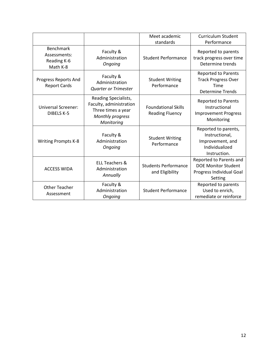|                                                             |                                                                                                         | Meet academic<br>standards                           | <b>Curriculum Student</b><br>Performance                                                     |
|-------------------------------------------------------------|---------------------------------------------------------------------------------------------------------|------------------------------------------------------|----------------------------------------------------------------------------------------------|
| <b>Benchmark</b><br>Assessments:<br>Reading K-6<br>Math K-8 | Faculty &<br>Administration<br>Ongoing                                                                  | <b>Student Performance</b>                           | Reported to parents<br>track progress over time<br>Determine trends                          |
| Progress Reports And<br><b>Report Cards</b>                 | Faculty &<br>Administration<br><b>Quarter or Trimester</b>                                              | <b>Student Writing</b><br>Performance                | <b>Reported to Parents</b><br><b>Track Progress Over</b><br>Time<br><b>Determine Trends</b>  |
| <b>Universal Screener:</b><br><b>DIBELS K-5</b>             | Reading Specialists,<br>Faculty, administration<br>Three times a year<br>Monthly progress<br>Monitoring | <b>Foundational Skills</b><br><b>Reading Fluency</b> | <b>Reported to Parents</b><br>Instructional<br><b>Improvement Progress</b><br>Monitoring     |
| <b>Writing Prompts K-8</b>                                  | Faculty &<br>Administration<br>Ongoing                                                                  | <b>Student Writing</b><br>Performance                | Reported to parents,<br>Instructional,<br>Improvement, and<br>Individualized<br>Instruction. |
| <b>ACCESS WIDA</b>                                          | <b>ELL Teachers &amp;</b><br>Administration<br>Annually                                                 | <b>Students Performance</b><br>and Eligibility       | Reported to Parents and<br><b>DOE Monitor Student</b><br>Progress Individual Goal<br>Setting |
| <b>Other Teacher</b><br>Assessment                          | Faculty &<br>Administration<br>Ongoing                                                                  | <b>Student Performance</b>                           | Reported to parents<br>Used to enrich,<br>remediate or reinforce                             |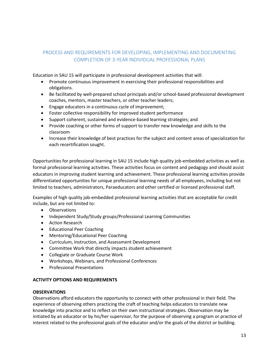## PROCESS AND REQUIREMENTS FOR DEVELOPING, IMPLEMENTING AND DOCUMENTING COMPLETION OF 3-YEAR INDIVIDUAL PROFESSIONAL PLANS

Education in SAU 15 will participate in professional development activities that will:

- Promote continuous improvement in exercising their professional responsibilities and obligations.
- Be facilitated by well-prepared school principals and/or school-based professional development coaches, mentors, master teachers, or other teacher leaders;
- Engage educators in a continuous cycle of improvement;
- Foster collective responsibility for improved student performance
- Support coherent, sustained and evidence-based learning strategies; and
- Provide coaching or other forms of support to transfer new knowledge and skills to the classroom
- Increase their knowledge of best practices for the subject and content areas of specialization for each recertification sought.

Opportunities for professional learning in SAU 15 include high quality job-embedded activities as well as formal professional learning activities. These activities focus on content and pedagogy and should assist educators in improving student learning and achievement. These professional learning activities provide differentiated opportunities for unique professional learning needs of all employees, including but not limited to teachers, administrators, Paraeducators and other certified or licensed professional staff.

Examples of high quality job-embedded professional learning activities that are acceptable for credit include, but are not limited to:

- Observations
- Independent Study/Study groups/Professional Learning Communities
- Action Research
- Educational Peer Coaching
- Mentoring/Educational Peer Coaching
- Curriculum, Instruction, and Assessment Development
- Committee Work that directly impacts student achievement
- Collegiate or Graduate Course Work
- Workshops, Webinars, and Professional Conferences
- Professional Presentations

## **ACTIVITY OPTIONS AND REQUIREMENTS**

## **OBSERVATIONS**

Observations afford educators the opportunity to connect with other professional in their field. The experience of observing others practicing the craft of teaching helps educators to translate new knowledge into practice and to reflect on their own instructional strategies. Observation may be initiated by an educator or by his/her supervisor, for the purpose of observing a program or practice of interest related to the professional goals of the educator and/or the goals of the district or building.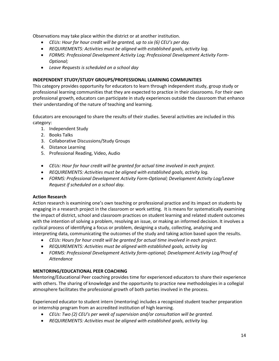Observations may take place within the district or at another institution.

- *CEUs: Hour for hour credit will be granted, up to six (6) CEU's per day.*
- *REQUIREMENTS: Activities must be aligned with established goals, activity log.*
- *FORMS: Professional Development Activity Log; Professional Development Activity Form-Optional;*
- *Leave Requests is scheduled on a school day*

## **INDEPENDENT STUDY/STUDY GROUPS/PROFESSIONAL LEARNING COMMUNITIES**

This category provides opportunity for educators to learn through independent study, group study or professional learning communities that they are expected to practice in their classrooms. For their own professional growth, educators can participate in study experiences outside the classroom that enhance their understanding of the nature of teaching and learning.

Educators are encouraged to share the results of their studies. Several activities are included in this category:

- 1. Independent Study
- 2. Books Talks
- 3. Collaborative Discussions/Study Groups
- 4. Distance Learning
- 5. Professional Reading, Video, Audio
- *CEUs: Hour for hour credit will be granted for actual time involved in each project.*
- *REQUIREMENTS: Activities must be aligned with established goals, activity log.*
- *FORMS: Professional Development Activity Form-Optional; Development Activity Log/Leave Request if scheduled on a school day.*

## **Action Research**

Action research is examining one's own teaching or professional practice and its impact on students by engaging in a research project in the classroom or work setting. It is means for systematically examining the impact of district, school and classroom practices on student learning and related student outcomes with the intention of solving a problem, resolving an issue, or making an informed decision. It involves a cyclical process of identifying a focus or problem, designing a study, collecting, analyzing and interpreting data, communicating the outcomes of the study and taking action based upon the results.

- *CEUs: Hours for hour credit will be granted for actual time involved in each project.*
- *REQUIREMENTS: Activities must be aligned with established goals, activity log*
- *FORMS: Professional Development Activity form-optional; Development Activity Log/Proof of Attendance*

## **MENTORING/EDUCATIONAL PEER COACHING**

Mentoring/Educational Peer coaching provides time for experienced educators to share their experience with others. The sharing of knowledge and the opportunity to practice new methodologies in a collegial atmosphere facilitates the professional growth of both parties involved in the process.

Experienced educator to student intern (mentoring) includes a recognized student teacher preparation or internship program from an accredited institution of high learning.

- *CEUs: Two (2) CEU's per week of supervision and/or consultation will be granted.*
- *REQUIREMENTS: Activities must be aligned with established goals, activity log.*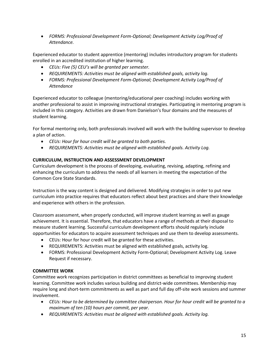• *FORMS: Professional Development Form-Optional; Development Activity Log/Proof of Attendance.*

Experienced educator to student apprentice (mentoring) includes introductory program for students enrolled in an accredited institution of higher learning.

- *CEUs: Five (5) CEU's will be granted per semester.*
- *REQUIREMENTS: Activities must be aligned with established goals, activity log.*
- *FORMS: Professional Development Form-Optional; Development Activity Log/Proof of Attendance*

Experienced educator to colleague (mentoring/educational peer coaching) includes working with another professional to assist in improving instructional strategies. Participating in mentoring program is included in this category. Activities are drawn from Danielson's four domains and the measures of student learning.

For formal mentoring only, both professionals involved will work with the building supervisor to develop a plan of action.

- *CEUs: Hour for hour credit will be granted to both parties.*
- *REQUIREMENTS: Activities must be aligned with established goals. Activity Log.*

## **CURRICULUM, INSTRUCTION AND ASSESSMENT DEVELOPMENT**

Curriculum development is the process of developing, evaluating, revising, adapting, refining and enhancing the curriculum to address the needs of all learners in meeting the expectation of the Common Core State Standards.

Instruction is the way content is designed and delivered. Modifying strategies in order to put new curriculum into practice requires that educators reflect about best practices and share their knowledge and experience with others in the profession.

Classroom assessment, when properly conducted, will improve student learning as well as gauge achievement. It is essential. Therefore, that educators have a range of methods at their disposal to measure student learning. Successful curriculum development efforts should regularly include opportunities for educators to acquire assessment techniques and use them to develop assessments.

- CEUs: Hour for hour credit will be granted for these activities.
- REQUIREMENTS: Activities must be aligned with established goals, activity log.
- FORMS: Professional Development Activity Form-Optional; Development Activity Log. Leave Request if necessary.

## **COMMITTEE WORK**

Committee work recognizes participation in district committees as beneficial to improving student learning. Committee work includes various building and district-wide committees. Membership may require long and short-term commitments as well as part and full day off-site work sessions and summer involvement.

- *CEUs: Hour to be determined by committee chairperson. Hour for hour credit will be granted to a maximum of ten (10) hours per commit, per year.*
- *REQUIREMENTS: Activities must be aligned with established goals. Activity log.*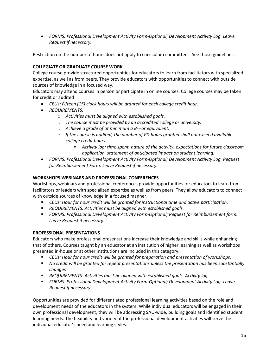• *FORMS: Professional Development Activity Form-Optional; Development Activity Log. Leave Request if necessary.* 

Restriction on the number of hours does not apply to curriculum committees. See those guidelines.

## **COLLEGIATE OR GRADUATE COURSE WORK**

College course provide structured opportunities for educators to learn from facilitators with specialized expertise, as well as from peers. They provide educators with opportunities to connect with outside sources of knowledge in a focused way.

Educators may attend courses in person or participate in online courses. College courses may be taken for credit or audited

- *CEUs: Fifteen (15) clock hours will be granted for each college credit hour.*
- *REQUIREMENTS:* 
	- o *Activities must be aligned with established goals.*
	- o *The course must be provided by an accredited college or university.*
	- o *Achieve a grade of at minimum a B---or equivalent.*
	- o *If the course is audited, the number of PD hours granted shall not exceed available college credit hours.* 
		- *Activity log: time spent, nature of the activity, expectations for future classroom application, statement of anticipated impact on student learning.*
- *FORMS: Professional Development Activity Form-Optional; Development Activity Log. Request for Reimbursement Form. Leave Request if necessary.*

## **WORKSHOPS WEBINARS AND PROFESSIONAL CONFERENCES**

Workshops, webinars and professional conferences provide opportunities for educators to learn from facilitators or leaders with specialized expertise as well as from peers. They allow educators to connect with outside sources of knowledge in a focused manner.

- *CEUs: Hour for hour credit will be granted for instructional time and active participation.*
- *REQUIREMENTS: Activities must be aligned with established goals.*
- *FORMS: Professional Development Activity Form-Optional; Request for Reimbursement form. Leave Request if necessary.*

## **PROFESSIONAL PRESENTATIONS**

Educators who make professional presentations increase their knowledge and skills while enhancing that of others. Courses taught by an educator at an institution of higher learning as well as workshops presented in-house or at other institutions are included in this category.

- *CEUs: Hour for hour credit will be granted for preparation and presentation of workshops.*
- *No credit will be granted for repeat presentations unless the presentation has been substantially changes*
- **REQUIREMENTS: Activities must be aligned with established goals. Activity log.**
- *FORMS: Professional Development Activity Form-Optional; Development Activity Log. Leave Request if necessary.*

Opportunities are provided for differentiated professional learning activities based on the role and development needs of the educators in the system. While individual educators will be engaged in their own professional development, they will be addressing SAU-wide, building goals and identified student learning needs. The flexibility and variety of the professional development activities will serve the individual educator's need and learning styles.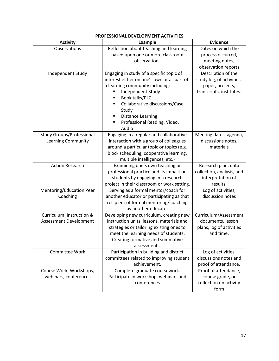| <b>Activity</b>                  | <b>Example</b>                              | <b>Evidence</b>           |
|----------------------------------|---------------------------------------------|---------------------------|
| Observations                     | Reflection about teaching and learning      | Dates on which the        |
|                                  | based upon one or more classroom            | process occurred,         |
|                                  | observations                                | meeting notes,            |
|                                  |                                             | observation reports       |
| Independent Study                | Engaging in study of a specific topic of    | Description of the        |
|                                  | interest either on one's own or as part of  | study log, of activities, |
|                                  | a learning community including;             | paper, projects,          |
|                                  | Independent Study                           | transcripts, institutes.  |
|                                  | Book talks/PLC                              |                           |
|                                  | Collaborative discussions/Case<br>П         |                           |
|                                  | Study                                       |                           |
|                                  | <b>Distance Learning</b><br>Е               |                           |
|                                  | Professional Reading, Video,                |                           |
|                                  | Audio                                       |                           |
| <b>Study Groups/Professional</b> | Engaging in a regular and collaborative     | Meeting dates, agenda,    |
| Learning Community               | interaction with a group of colleagues      | discussions notes,        |
|                                  | around a particular topic or topics (e.g.   | materials                 |
|                                  | block scheduling, cooperative learning,     |                           |
|                                  | multiple intelligences, etc.)               |                           |
| <b>Action Research</b>           | Examining one's own teaching or             | Research plan, data       |
|                                  | professional practice and its impact on     | collection, analysis, and |
|                                  | students by engaging in a research          | interpretation of         |
|                                  | project in their classroom or work setting. | results.                  |
| Mentoring/Education Peer         | Serving as a formal mentor/coach for        | Log of activities,        |
| Coaching                         | another educator or participating as that   | discussion notes          |
|                                  | recipient of formal mentoring/coaching      |                           |
|                                  | by another educator                         |                           |
| Curriculum, Instruction &        | Developing new curriculum, creating new     | Curriculum/Assessment     |
| Assessment Development           | instruction units, lessons, materials and   | documents, lesson         |
|                                  | strategies or tailoring existing ones to    | plans, log of activities  |
|                                  | meet the learning needs of students.        | and time.                 |
|                                  | Creating formative and summative            |                           |
|                                  | assessments.                                |                           |
| Committee Work                   | Participation in building and district      | Log of activities,        |
|                                  | committees related to improving student     | discussions notes and     |
|                                  | achievement.                                | proof of attendance,      |
| Course Work, Workshops,          | Complete graduate coursework.               | Proof of attendance,      |
| webinars, conferences            | Participate in workshop, webinars and       | course grade, or          |
|                                  | conferences                                 | reflection on activity    |
|                                  |                                             | form                      |

## **PROFESSIONAL DEVELOPMENT ACTIVITIES**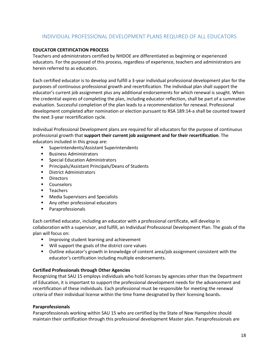## INDIVIDUAL PROFESSIONAL DEVELOPMENT PLANS REQUIRED OF ALL EDUCATORS

## **EDUCATOR CERTIFICATION PROCESS**

Teachers and administrators certified by NHDOE are differentiated as beginning or experienced educators. For the purposed of this process, regardless of experience, teachers and administrators are herein referred to as educators.

Each certified educator is to develop and fulfill a 3-year individual professional development plan for the purposes of continuous professional growth and recertification. The individual plan shall support the educator's current job assignment plus any additional endorsements for which renewal is sought. When the credential expires of completing the plan, including educator reflection, shall be part of a summative evaluation. Successful completion of the plan leads to a recommendation for renewal. Professional development completed after nomination or election pursuant to RSA 189:14-a shall be counted toward the next 3-year recertification cycle.

Individual Professional Development plans are required for all educators for the purpose of continuous professional growth that **support their current job assignment and for their recertification**. The educators included in this group are:

- **Superintendents/Assistant Superintendents**
- **Business Administrators**
- **Special Education Administrators**
- **Principals/Assistant Principals/Deans of Students**
- **District Administrators**
- **Directors**
- **Counselors**
- **Teachers**
- **Media Supervisors and Specialists**
- **Any other professional educators**
- **Paraprofessionals**

Each certified educator, including an educator with a professional certificate, will develop in collaboration with a supervisor, and fulfill, an Individual Professional Development Plan. The goals of the plan will focus on:

- **IMPROVING STRUGENT** Improving student learning and achievement
- **Will support the goals of the district core values**
- Outline educator's growth in knowledge of content area/job assignment consistent with the educator's certification including multiple endorsements.

## **Certified Professionals through Other Agencies**

Recognizing that SAU 15 employs individuals who hold licenses by agencies other than the Department of Education, it is important to support the professional development needs for the advancement and recertification of these individuals. Each professional must be responsible for meeting the renewal criteria of their individual license within the time frame designated by their licensing boards.

## **Paraprofessionals**

Paraprofessionals working within SAU 15 who are certified by the State of New Hampshire should maintain their certification through this professional development Master plan. Paraprofessionals are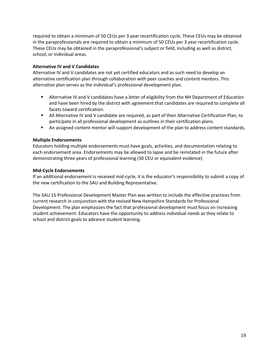required to obtain a minimum of 50 CEUs per 3 year recertification cycle. These CEUs may be obtained in the paraprofessionals are required to obtain a minimum of 50 CEUs per 3 year recertification cycle. These CEUs may be obtained in the paraprofessional's subject or field, including as well as district, school, or individual areas.

## **Alternative IV and V Candidates**

Alternative IV and V candidates are not yet certified educators and as such need to develop an alternative certification plan through collaboration with peer coaches and content mentors. This alternative plan serves as the individual's professional development plan.

- **EXTER Alternative IV and V candidates have a letter of eligibility from the NH Department of Education** and have been hired by the district with agreement that candidates are required to complete all facets toward certification.
- All Alternative IV and V candidate are required, as part of their Alternative Certification Plan, to participate in all professional development as outlines in their certification plans.
- An assigned content mentor will support development of the plan to address content standards.

## **Multiple Endorsements**

Educators holding multiple endorsements must have goals, activities, and documentation relating to each endorsement area. Endorsements may be allowed to lapse and be reinstated in the future after demonstrating three years of professional learning (30 CEU or equivalent evidence)

## **Mid-Cycle Endorsements**

If an additional endorsement is received mid-cycle, it is the educator's responsibility to submit a copy of the new certification to the SAU and Building Representative.

The SAU 15 Professional Development Master Plan was written to include the effective practices from current research in conjunction with the revised New Hampshire Standards for Professional Development. The plan emphasizes the fact that professional development must focus on increasing student achievement. Educators have the opportunity to address individual needs as they relate to school and district goals to advance student learning.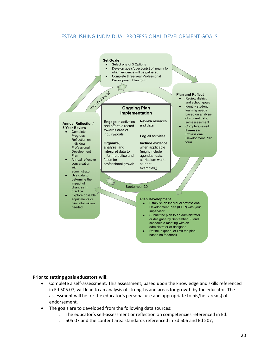## ESTABLISHING INDIVIDUAL PROFESSIONAL DEVELOPMENT GOALS



#### **Prior to setting goals educators will:**

- Complete a self-assessment. This assessment, based upon the knowledge and skills referenced in Ed 505.07, will lead to an analysis of strengths and areas for growth by the educator. The assessment will be for the educator's personal use and appropriate to his/her area(s) of endorsement.
- The goals are to developed from the following data sources:
	- o The educator's self-assessment or reflection on competencies referenced in Ed.
	- o 505.07 and the content area standards referenced in Ed 506 and Ed 507;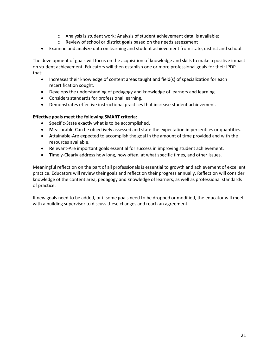- $\circ$  Analysis is student work; Analysis of student achievement data, is available;
- o Review of school or district goals based on the needs assessment
- Examine and analyze data on learning and student achievement from state, district and school.

The development of goals will focus on the acquisition of knowledge and skills to make a positive impact on student achievement. Educators will then establish one or more professional goals for their IPDP that:

- Increases their knowledge of content areas taught and field(s) of specialization for each recertification sought.
- Develops the understanding of pedagogy and knowledge of learners and learning.
- Considers standards for professional learning.
- Demonstrates effective instructional practices that increase student achievement.

## **Effective goals meet the following SMART criteria:**

- **S**pecific-State exactly what is to be accomplished.
- **M**easurable-Can be objectively assessed and state the expectation in percentiles or quantities.
- **A**ttainable-Are expected to accomplish the goal in the amount of time provided and with the resources available.
- **R**elevant-Are important goals essential for success in improving student achievement.
- **T**imely-Clearly address how long, how often, at what specific times, and other issues.

Meaningful reflection on the part of all professionals is essential to growth and achievement of excellent practice. Educators will review their goals and reflect on their progress annually. Reflection will consider knowledge of the content area, pedagogy and knowledge of learners, as well as professional standards of practice.

If new goals need to be added, or if some goals need to be dropped or modified, the educator will meet with a building supervisor to discuss these changes and reach an agreement.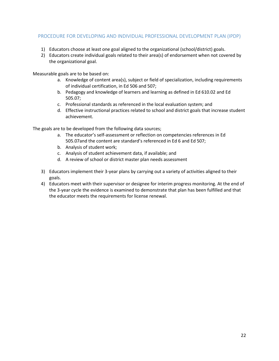## PROCEDURE FOR DEVELOPING AND INDIVIDUAL PROFESSIONAL DEVELOPMENT PLAN (IPDP)

- 1) Educators choose at least one goal aligned to the organizational (school/district) goals.
- 2) Educators create individual goals related to their area(s) of endorsement when not covered by the organizational goal.

Measurable goals are to be based on:

- a. Knowledge of content area(s), subject or field of specialization, including requirements of individual certification, in Ed 506 and 507;
- b. Pedagogy and knowledge of learners and learning as defined in Ed 610.02 and Ed 505.07;
- c. Professional standards as referenced in the local evaluation system; and
- d. Effective instructional practices related to school and district goals that increase student achievement.

The goals are to be developed from the following data sources;

- a. The educator's self-assessment or reflection on competencies references in Ed 505.07and the content are standard's referenced in Ed 6 and Ed 507;
- b. Analysis of student work;
- c. Analysis of student achievement data, if available; and
- d. A review of school or district master plan needs assessment
- 3) Educators implement their 3-year plans by carrying out a variety of activities aligned to their goals.
- 4) Educators meet with their supervisor or designee for interim progress monitoring. At the end of the 3-year cycle the evidence is examined to demonstrate that plan has been fulfilled and that the educator meets the requirements for license renewal.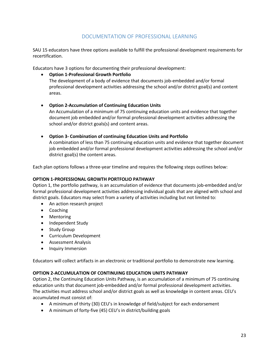## DOCUMENTATION OF PROFESSIONAL LEARNING

SAU 15 educators have three options available to fulfill the professional development requirements for recertification.

Educators have 3 options for documenting their professional development:

- **Option 1-Professional Growth Portfolio** The development of a body of evidence that documents job-embedded and/or formal professional development activities addressing the school and/or district goal(s) and content areas.
- **Option 2-Accumulation of Continuing Education Units** An Accumulation of a minimum of 75 continuing education units and evidence that together document job embedded and/or formal professional development activities addressing the school and/or district goals(s) and content areas.
- **Option 3- Combination of continuing Education Units and Portfolio** A combination of less than 75 continuing education units and evidence that together document job embedded and/or formal professional development activities addressing the school and/or

district goal(s) the content areas.

Each plan options follows a three-year timeline and requires the following steps outlines below:

## **OPTION 1-PROFESSIONAL GROWTH PORTFOLIO PATHWAY**

Option 1, the portfolio pathway, is an accumulation of evidence that documents job-embedded and/or formal professional development activities addressing individual goals that are aligned with school and district goals. Educators may select from a variety of activities including but not limited to:

- An action research project
- Coaching
- Mentoring
- Independent Study
- Study Group
- Curriculum Development
- Assessment Analysis
- Inquiry Immersion

Educators will collect artifacts in an electronic or traditional portfolio to demonstrate new learning.

## **OPTION 2-ACCUMULATION OF CONTINUING EDUCATION UNITS PATHWAY**

Option 2, the Continuing Education Units Pathway, is an accumulation of a minimum of 75 continuing education units that document job-embedded and/or formal professional development activities. The activities must address school and/or district goals as well as knowledge in content areas. CEU's accumulated must consist of:

- A minimum of thirty (30) CEU's in knowledge of field/subject for each endorsement
- A minimum of forty-five (45) CEU's in district/building goals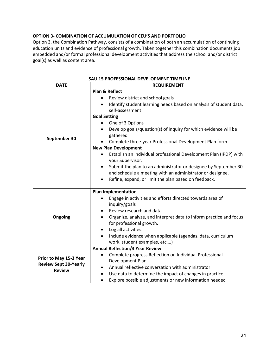## **OPTION 3- COMBINATION OF ACCUMULATION OF CEU'S AND PORTFOLIO**

Option 3, the Combination Pathway, consists of a combination of both an accumulation of continuing education units and evidence of professional growth. Taken together this combination documents job embedded and/or formal professional development activities that address the school and/or district goal(s) as well as content area.

| <b>DATE</b>                  | <b>REQUIREMENT</b>                                                              |  |  |
|------------------------------|---------------------------------------------------------------------------------|--|--|
|                              | <b>Plan &amp; Reflect</b>                                                       |  |  |
|                              | Review district and school goals<br>$\bullet$                                   |  |  |
|                              | Identify student learning needs based on analysis of student data,<br>$\bullet$ |  |  |
|                              | self-assessment                                                                 |  |  |
|                              | <b>Goal Setting</b>                                                             |  |  |
|                              | One of 3 Options<br>$\bullet$                                                   |  |  |
|                              | Develop goals/question(s) of inquiry for which evidence will be<br>$\bullet$    |  |  |
| September 30                 | gathered                                                                        |  |  |
|                              | Complete three-year Professional Development Plan form                          |  |  |
|                              | <b>New Plan Development</b>                                                     |  |  |
|                              | Establish an individual professional Development Plan (IPDP) with               |  |  |
|                              | your Supervisor.                                                                |  |  |
|                              | Submit the plan to an administrator or designee by September 30<br>$\bullet$    |  |  |
|                              | and schedule a meeting with an administrator or designee.                       |  |  |
|                              | Refine, expand, or limit the plan based on feedback.<br>$\bullet$               |  |  |
|                              |                                                                                 |  |  |
|                              | <b>Plan Implementation</b>                                                      |  |  |
|                              | Engage in activities and efforts directed towards area of<br>$\bullet$          |  |  |
|                              | inquiry/goals                                                                   |  |  |
|                              | Review research and data                                                        |  |  |
| Ongoing                      | Organize, analyze, and interpret data to inform practice and focus<br>$\bullet$ |  |  |
|                              | for professional growth.                                                        |  |  |
|                              | Log all activities.<br>٠                                                        |  |  |
|                              | Include evidence when applicable (agendas, data, curriculum                     |  |  |
|                              | work, student examples, etc)                                                    |  |  |
|                              | <b>Annual Reflection/3 Year Review</b>                                          |  |  |
| Prior to May 15-3 Year       | Complete progress Reflection on Individual Professional<br>$\bullet$            |  |  |
|                              | Development Plan                                                                |  |  |
| <b>Review Sept 30-Yearly</b> | Annual reflective conversation with administrator                               |  |  |
| <b>Review</b>                | Use data to determine the impact of changes in practice                         |  |  |
|                              | Explore possible adjustments or new information needed                          |  |  |

#### **SAU 15 PROFESSIONAL DEVELOPMENT TIMELINE**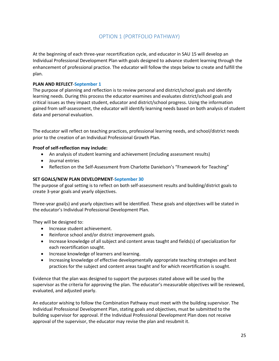## OPTION 1 (PORTFOLIO PATHWAY)

At the beginning of each three-year recertification cycle, and educator in SAU 15 will develop an Individual Professional Development Plan with goals designed to advance student learning through the enhancement of professional practice. The educator will follow the steps below to create and fulfill the plan.

## **PLAN AND REFLECT**-**September 1**

The purpose of planning and reflection is to review personal and district/school goals and identify learning needs. During this process the educator examines and evaluates district/school goals and critical issues as they impact student, educator and district/school progress. Using the information gained from self-assessment, the educator will identify learning needs based on both analysis of student data and personal evaluation.

The educator will reflect on teaching practices, professional learning needs, and school/district needs prior to the creation of an Individual Professional Growth Plan.

## **Proof of self-reflection may include:**

- An analysis of student learning and achievement (including assessment results)
- Journal entries
- Reflection on the Self-Assessment from Charlotte Danielson's "Framework for Teaching"

## **SET GOALS/NEW PLAN DEVELOPMENT**-**September 30**

The purpose of goal setting is to reflect on both self-assessment results and building/district goals to create 3-year goals and yearly objectives.

Three-year goal(s) and yearly objectives will be identified. These goals and objectives will be stated in the educator's Individual Professional Development Plan.

They will be designed to:

- Increase student achievement.
- Reinforce school and/or district improvement goals.
- Increase knowledge of all subject and content areas taught and fields(s) of specialization for each recertification sought.
- Increase knowledge of learners and learning.
- Increasing knowledge of effective developmentally appropriate teaching strategies and best practices for the subject and content areas taught and for which recertification is sought.

Evidence that the plan was designed to support the purposes stated above will be used by the supervisor as the criteria for approving the plan. The educator's measurable objectives will be reviewed, evaluated, and adjusted yearly.

An educator wishing to follow the Combination Pathway must meet with the building supervisor. The Individual Professional Development Plan, stating goals and objectives, must be submitted to the building supervisor for approval. If the Individual Professional Development Plan does not receive approval of the supervisor, the educator may revise the plan and resubmit it.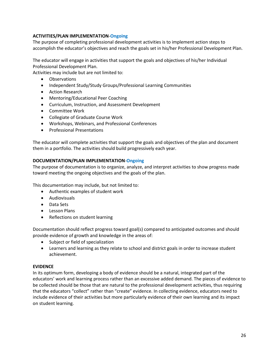## **ACTIVITIES/PLAN IMPLEMENTATION**-**Ongoing**

The purpose of completing professional development activities is to implement action steps to accomplish the educator's objectives and reach the goals set in his/her Professional Development Plan.

The educator will engage in activities that support the goals and objectives of his/her Individual Professional Development Plan.

Activities may include but are not limited to:

- Observations
- Independent Study/Study Groups/Professional Learning Communities
- Action Research
- Mentoring/Educational Peer Coaching
- Curriculum, Instruction, and Assessment Development
- Committee Work
- Collegiate of Graduate Course Work
- Workshops, Webinars, and Professional Conferences
- Professional Presentations

The educator will complete activities that support the goals and objectives of the plan and document them in a portfolio. The activities should build progressively each year.

## **DOCUMENTATION/PLAN IMPLEMENTATION**-**Ongoing**

The purpose of documentation is to organize, analyze, and interpret activities to show progress made toward meeting the ongoing objectives and the goals of the plan.

This documentation may include, but not limited to:

- Authentic examples of student work
- Audiovisuals
- Data Sets
- Lesson Plans
- Reflections on student learning

Documentation should reflect progress toward goal(s) compared to anticipated outcomes and should provide evidence of growth and knowledge in the areas of:

- Subject or field of specialization
- Learners and learning as they relate to school and district goals in order to increase student achievement.

## **EVIDENCE**

In its optimum form, developing a body of evidence should be a natural, integrated part of the educators' work and learning process rather than an excessive added demand. The pieces of evidence to be collected should be those that are natural to the professional development activities, thus requiring that the educators "collect" rather than "create" evidence. In collecting evidence, educators need to include evidence of their activities but more particularly evidence of their own learning and its impact on student learning.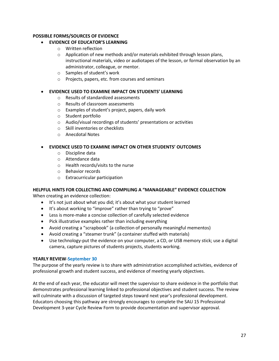## **POSSIBLE FORMS/SOURCES OF EVIDENCE**

## • **EVIDENCE OF EDUCATOR'S LEARNING**

- o Written reflection
- o Application of new methods and/or materials exhibited through lesson plans, instructional materials, video or audiotapes of the lesson, or formal observation by an administrator, colleague, or mentor.
- o Samples of student's work
- o Projects, papers, etc. from courses and seminars

## • **EVIDENCE USED TO EXAMINE IMPACT ON STUDENTS' LEARNING**

- o Results of standardized assessments
- o Results of classroom assessments
- o Examples of student's project, papers, daily work
- o Student portfolio
- o Audio/visual recordings of students' presentations or activities
- o Skill inventories or checklists
- o Anecdotal Notes

## • **EVIDENCE USED TO EXAMINE IMPACT ON OTHER STUDENTS' OUTCOMES**

- o Discipline data
- o Attendance data
- o Health records/visits to the nurse
- o Behavior records
- o Extracurricular participation

## **HELPFUL HINTS FOR COLLECTING AND COMPILING A "MANAGEABLE" EVIDENCE COLLECTION**

When creating an evidence collection:

- It's not just about what you did; it's about what your student learned
- It's about working to "improve" rather than trying to "prove"
- Less is more-make a concise collection of carefully selected evidence
- Pick illustrative examples rather than including everything
- Avoid creating a "scrapbook" (a collection of personally meaningful mementos)
- Avoid creating a "steamer trunk" (a container stuffed with materials)
- Use technology-put the evidence on your computer, a CD, or USB memory stick; use a digital camera, capture pictures of students projects, students working.

## **YEARLY REVIEW**-**September 30**

The purpose of the yearly review is to share with administration accomplished activities, evidence of professional growth and student success, and evidence of meeting yearly objectives.

At the end of each year, the educator will meet the supervisor to share evidence in the portfolio that demonstrates professional learning linked to professional objectives and student success. The review will culminate with a discussion of targeted steps toward next year's professional development. Educators choosing this pathway are strongly encourages to complete the SAU 15 Professional Development 3-year Cycle Review Form to provide documentation and supervisor approval.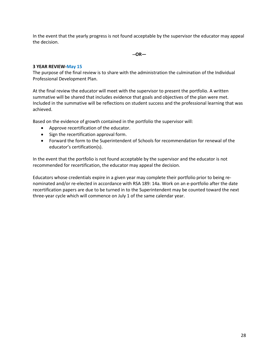In the event that the yearly progress is not found acceptable by the supervisor the educator may appeal the decision.

**--OR—**

#### **3 YEAR REVIEW-May 15**

The purpose of the final review is to share with the administration the culmination of the Individual Professional Development Plan.

At the final review the educator will meet with the supervisor to present the portfolio. A written summative will be shared that includes evidence that goals and objectives of the plan were met. Included in the summative will be reflections on student success and the professional learning that was achieved.

Based on the evidence of growth contained in the portfolio the supervisor will:

- Approve recertification of the educator.
- Sign the recertification approval form.
- Forward the form to the Superintendent of Schools for recommendation for renewal of the educator's certification(s).

In the event that the portfolio is not found acceptable by the supervisor and the educator is not recommended for recertification, the educator may appeal the decision.

Educators whose credentials expire in a given year may complete their portfolio prior to being renominated and/or re-elected in accordance with RSA 189: 14a. Work on an e-portfolio after the date recertification papers are due to be turned in to the Superintendent may be counted toward the next three-year cycle which will commence on July 1 of the same calendar year.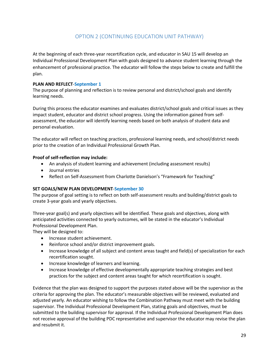## OPTION 2 (CONTINUING EDUCATION UNIT PATHWAY)

At the beginning of each three-year recertification cycle, and educator in SAU 15 will develop an Individual Professional Development Plan with goals designed to advance student learning through the enhancement of professional practice. The educator will follow the steps below to create and fulfill the plan.

## **PLAN AND REFLECT**-**September 1**

The purpose of planning and reflection is to review personal and district/school goals and identify learning needs.

During this process the educator examines and evaluates district/school goals and critical issues as they impact student, educator and district school progress. Using the information gained from selfassessment, the educator will identify learning needs based on both analysis of student data and personal evaluation.

The educator will reflect on teaching practices, professional learning needs, and school/district needs prior to the creation of an Individual Professional Growth Plan.

## **Proof of self-reflection may include:**

- An analysis of student learning and achievement (including assessment results)
- Journal entries
- Reflect on Self-Assessment from Charlotte Danielson's "Framework for Teaching"

## **SET GOALS/NEW PLAN DEVELOPMENT**-**September 30**

The purpose of goal setting is to reflect on both self-assessment results and building/district goals to create 3-year goals and yearly objectives.

Three-year goal(s) and yearly objectives will be identified. These goals and objectives, along with anticipated activities connected to yearly outcomes, will be stated in the educator's Individual Professional Development Plan.

They will be designed to:

- Increase student achievement.
- Reinforce school and/or district improvement goals.
- Increase knowledge of all subject and content areas taught and field(s) of specialization for each recertification sought.
- Increase knowledge of learners and learning.
- Increase knowledge of effective developmentally appropriate teaching strategies and best practices for the subject and content areas taught for which recertification is sought.

Evidence that the plan was designed to support the purposes stated above will be the supervisor as the criteria for approving the plan. The educator's measurable objectives will be reviewed, evaluated and adjusted yearly. An educator wishing to follow the Combination Pathway must meet with the building supervisor. The Individual Professional Development Plan, stating goals and objectives, must be submitted to the building supervisor for approval. If the Individual Professional Development Plan does not receive approval of the building PDC representative and supervisor the educator may revise the plan and resubmit it.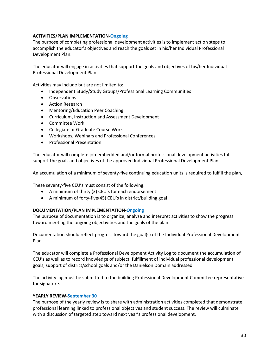## **ACTIVITIES/PLAN IMPLEMENTATION-Ongoing**

The purpose of completing professional development activities is to implement action steps to accomplish the educator's objectives and reach the goals set in his/her Individual Professional Development Plan.

The educator will engage in activities that support the goals and objectives of his/her Individual Professional Development Plan.

Activities may include but are not limited to:

- Independent Study/Study Groups/Professional Learning Communities
- Observations
- Action Research
- Mentoring/Education Peer Coaching
- Curriculum, Instruction and Assessment Development
- Committee Work
- Collegiate or Graduate Course Work
- Workshops, Webinars and Professional Conferences
- Professional Presentation

The educator will complete job-embedded and/or formal professional development activities tat support the goals and objectives of the approved Individual Professional Development Plan.

An accumulation of a minimum of seventy-five continuing education units is required to fulfill the plan,

These seventy-five CEU's must consist of the following:

- A minimum of thirty (3) CEU's for each endorsement
- A minimum of forty-five(45) CEU's in district/building goal

## **DOCUMENTATION/PLAN IMPLEMENTATION-Ongoing**

The purpose of documentation is to organize, analyze and interpret activities to show the progress toward meeting the ongoing objectivities and the goals of the plan.

Documentation should reflect progress toward the goal(s) of the Individual Professional Development Plan.

The educator will complete a Professional Development Activity Log to document the accumulation of CEU's as well as to record knowledge of subject, fulfillment of individual professional development goals, support of district/school goals and/or the Danielson Domain addressed.

The activity log must be submitted to the building Professional Development Committee representative for signature.

## **YEARLY REVIEW-September 30**

The purpose of the yearly review is to share with administration activities completed that demonstrate professional learning linked to professional objectives and student success. The review will culminate with a discussion of targeted step toward next year's professional development.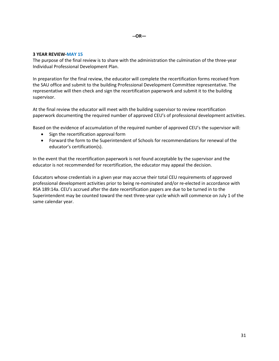#### **3 YEAR REVIEW-MAY 15**

The purpose of the final review is to share with the administration the culmination of the three-year Individual Professional Development Plan.

In preparation for the final review, the educator will complete the recertification forms received from the SAU office and submit to the building Professional Development Committee representative. The representative will then check and sign the recertification paperwork and submit it to the building supervisor.

At the final review the educator will meet with the building supervisor to review recertification paperwork documenting the required number of approved CEU's of professional development activities.

Based on the evidence of accumulation of the required number of approved CEU's the supervisor will:

- Sign the recertification approval form
- Forward the form to the Superintendent of Schools for recommendations for renewal of the educator's certification(s).

In the event that the recertification paperwork is not found acceptable by the supervisor and the educator is not recommended for recertification, the educator may appeal the decision.

Educators whose credentials in a given year may accrue their total CEU requirements of approved professional development activities prior to being re-nominated and/or re-elected in accordance with RSA 189:14a. CEU's accrued after the date recertification papers are due to be turned in to the Superintendent may be counted toward the next three-year cycle which will commence on July 1 of the same calendar year.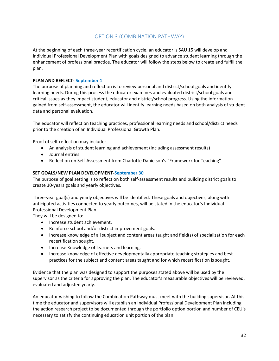## OPTION 3 (COMBINATION PATHWAY)

At the beginning of each three-year recertification cycle, an educator is SAU 15 will develop and Individual Professional Development Plan with goals designed to advance student learning through the enhancement of professional practice. The educator will follow the steps below to create and fulfill the plan.

## **PLAN AND REFLECT- September 1**

The purpose of planning and reflection is to review personal and district/school goals and identify learning needs. During this process the educator examines and evaluated district/school goals and critical issues as they impact student, educator and district/school progress. Using the information gained from self-assessment, the educator will identify learning needs based on both analysis of student data and personal evaluation.

The educator will reflect on teaching practices, professional learning needs and school/district needs prior to the creation of an Individual Professional Growth Plan.

Proof of self-reflection may include:

- An analysis of student learning and achievement (including assessment results)
- Journal entries
- Reflection on Self-Assessment from Charlotte Danielson's "Framework for Teaching"

## **SET GOALS/NEW PLAN DEVELOPMENT-September 30**

The purpose of goal setting is to reflect on both self-assessment results and building district goals to create 30-years goals and yearly objectives.

Three-year goal(s) and yearly objectives will be identified. These goals and objectives, along with anticipated activities connected to yearly outcomes, will be stated in the educator's Individual Professional Development Plan.

They will be designed to:

- Increase student achievement.
- Reinforce school and/or district improvement goals.
- Increase knowledge of all subject and content areas taught and field(s) of specialization for each recertification sought.
- Increase Knowledge of learners and learning.
- Increase knowledge of effective developmentally appropriate teaching strategies and best practices for the subject and content areas taught and for which recertification is sought.

Evidence that the plan was designed to support the purposes stated above will be used by the supervisor as the criteria for approving the plan. The educator's measurable objectives will be reviewed, evaluated and adjusted yearly.

An educator wishing to follow the Combination Pathway must meet with the building supervisor. At this time the educator and supervisors will establish an Individual Professional Development Plan including the action research project to be documented through the portfolio option portion and number of CEU's necessary to satisfy the continuing education unit portion of the plan.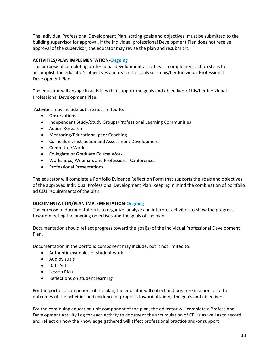The Individual Professional Development Plan, stating goals and objectives, must be submitted to the building supervisor for approval. If the Individual professional Development Plan does not receive approval of the supervisor, the educator may revise the plan and resubmit it.

## **ACTIVITIES/PLAN IMPLEMENTATION-Ongoing**

The purpose of completing professional development activities is to implement action steps to accomplish the educator's objectives and reach the goals set in his/her Individual Professional Development Plan.

The educator will engage in activities that support the goals and objectives of his/her Individual Professional Development Plan.

Activities may include but are not limited to:

- Observations
- Independent Study/Study Groups/Professional Learning Communities
- Action Research
- Mentoring/Educational peer Coaching
- Curriculum, Instruction and Assessment Development
- Committee Work
- Collegiate or Graduate Course Work
- Workshops, Webinars and Professional Conferences
- Professional Presentations

The educator will complete a Portfolio Evidence Reflection Form that supports the goals and objectives of the approved Individual Professional Development Plan, keeping in mind the combination of portfolio ad CEU requirements of the plan.

## **DOCUMENTATION/PLAN IMPLEMENTATION-Ongoing**

The purpose of documentation is to organize, analyze and interpret activities to show the progress toward meeting the ongoing objectives and the goals of the plan.

Documentation should reflect progress toward the goal(s) of the Individual Professional Development Plan.

Documentation in the portfolio component may include, but it not limited to:

- Authentic examples of student work
- Audiovisuals
- Data Sets
- Lesson Plan
- Reflections on student learning

For the portfolio component of the plan, the educator will collect and organize in a portfolio the outcomes of the activities and evidence of progress toward attaining the goals and objectives.

For the continuing education unit component of the plan, the educator will complete a Professional Development Activity Log for each activity to document the accumulation of CEU's as well as to record and reflect on how the knowledge gathered will affect professional practice and/or support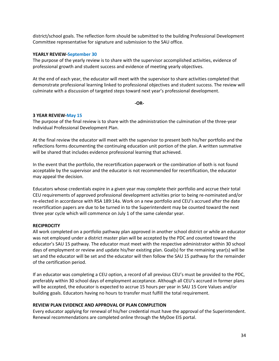district/school goals. The reflection form should be submitted to the building Professional Development Committee representative for signature and submission to the SAU office.

#### **YEARLY REVIEW-September 30**

The purpose of the yearly review is to share with the supervisor accomplished activities, evidence of professional growth and student success and evidence of meeting yearly objectives.

At the end of each year, the educator will meet with the supervisor to share activities completed that demonstrate professional learning linked to professional objectives and student success. The review will culminate with a discussion of targeted steps toward next year's professional development.

**-OR-**

#### **3 YEAR REVIEW-May 15**

The purpose of the final review is to share with the administration the culmination of the three-year Individual Professional Development Plan.

At the final review the educator will meet with the supervisor to present both his/her portfolio and the reflections forms documenting the continuing education unit portion of the plan. A written summative will be shared that includes evidence professional learning that achieved.

In the event that the portfolio, the recertification paperwork or the combination of both is not found acceptable by the supervisor and the educator is not recommended for recertification, the educator may appeal the decision.

Educators whose credentials expire in a given year may complete their portfolio and accrue their total CEU requirements of approved professional development activities prior to being re-nominated and/or re-elected in accordance with RSA 189:14a. Work on a new portfolio and CEU's accrued after the date recertification papers are due to be turned in to the Superintendent may be counted toward the next three year cycle which will commence on July 1 of the same calendar year.

## **RECIPROCITY**

All work completed on a portfolio pathway plan approved in another school district or while an educator was not employed under a district master plan will be accepted by the PDC and counted toward the educator's SAU 15 pathway. The educator must meet with the respective administrator within 30 school days of employment or review and update his/her existing plan. Goal(s) for the remaining year(s) will be set and the educator will be set and the educator will then follow the SAU 15 pathway for the remainder of the certification period.

If an educator was completing a CEU option, a record of all previous CEU's must be provided to the PDC, preferably within 30 school days of employment acceptance. Although all CEU's accrued in former plans will be accepted, the educator is expected to accrue 15 hours per year in SAU 15 Core Values and/or building goals. Educators having no hours to transfer must fulfill the total requirement.

#### **REVIEW PLAN EVIDENCE AND APPROVAL OF PLAN COMPLETION**

Every educator applying for renewal of his/her credential must have the approval of the Superintendent. Renewal recommendations are completed online through the MyDoe EIS portal.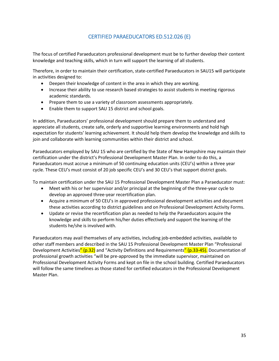## CERTIFIED PARAEDUCATORS ED.512.026 (E)

The focus of certified Paraeducators professional development must be to further develop their content knowledge and teaching skills, which in turn will support the learning of all students.

Therefore, in order to maintain their certification, state-certified Paraeducators in SAU15 will participate in activities designed to:

- Deepen their knowledge of content in the area in which they are working.
- Increase their ability to use research based strategies to assist students in meeting rigorous academic standards.
- Prepare them to use a variety of classroom assessments appropriately.
- Enable them to support SAU 15 district and school goals.

In addition, Paraeducators' professional development should prepare them to understand and appreciate all students, create safe, orderly and supportive learning environments and hold high expectation for students' learning achievement. It should help them develop the knowledge and skills to join and collaborate with learning communities within their district and school.

Paraeducators employed by SAU 15 who are certified by the State of New Hampshire may maintain their certification under the district's Professional Development Master Plan. In order to do this, a Paraeducators must accrue a minimum of 50 continuing education units (CEU's) within a three year cycle. These CEU's must consist of 20 job specific CEU's and 30 CEU's that support district goals.

To maintain certification under the SAU 15 Professional Development Master Plan a Paraeducator must:

- Meet with his or her supervisor and/or principal at the beginning of the three-year cycle to develop an approved three-year recertification plan.
- Acquire a minimum of 50 CEU's in approved professional development activities and document these activities according to district guidelines and on Professional Development Activity Forms.
- Update or revise the recertification plan as needed to help the Paraeducators acquire the knowledge and skills to perform his/her duties effectively and support the learning of the students he/she is involved with.

Paraeducators may avail themselves of any activities, including job-embedded activities, available to other staff members and described in the SAU 15 Professional Development Master Plan "Professional Development Activities" (p.32) and "Activity Definitions and Requirements" (p.33-45). Documentation of professional growth activities "will be pre-approved by the immediate supervisor, maintained on Professional Development Activity Forms and kept on file in the school building. Certified Paraeducators will follow the same timelines as those stated for certified educators in the Professional Development Master Plan.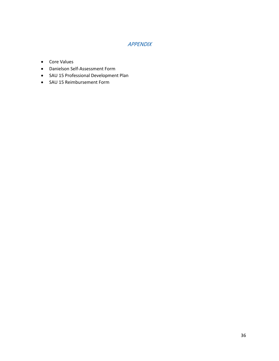## APPENDIX

- Core Values
- Danielson Self-Assessment Form
- SAU 15 Professional Development Plan
- SAU 15 Reimbursement Form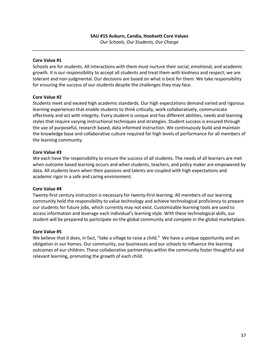*\_\_\_\_\_\_\_\_\_\_\_\_\_\_\_\_\_\_\_\_\_\_\_\_\_\_\_\_\_\_\_\_\_\_\_\_\_\_\_\_\_\_\_\_\_\_\_\_\_\_\_\_\_\_\_\_\_\_\_\_\_\_\_\_\_\_\_\_\_\_\_\_\_\_\_\_\_\_\_\_\_\_\_\_\_*

## **Core Value #1**

Schools are for students. All interactions with them must nurture their social, emotional, and academic growth. It is our responsibility to accept all students and treat them with kindness and respect; we are tolerant and non-judgmental. Our decisions are based on what is best for them. We take responsibility for ensuring the success of our students despite the challenges they may face.

## **Core Value #2**

Students meet and exceed high academic standards. Our high expectations demand varied and rigorous learning experiences that enable students to think critically, work collaboratively, communicate effectively and act with integrity. Every student is unique and has different abilities, needs and learning styles that require varying instructional techniques and strategies. Student success is ensured through the use of purposeful, research based, data informed instruction. We continuously build and maintain the knowledge base and collaborative culture required for high levels of performance for all members of the learning community.

## **Core Value #3**

We each have the responsibility to ensure the success of all students. The needs of all learners are met when outcome based learning occurs and when students, teachers, and policy maker are empowered by data. All students learn when their passions and talents are coupled with high expectations and academic rigor in a safe and caring environment.

## **Core Value #4**

Twenty-first century instruction is necessary for twenty-first learning. All members of our learning community hold the responsibility to value technology and achieve technological proficiency to prepare our students for future jobs, which currently may not exist. Customizable learning tools are used to access information and leverage each individual's learning style. With these technological skills, our student will be prepared to participate on the global community and compete in the global marketplace.

## **Core Value #5**

We believe that it does, in fact, "take a village to raise a child." We have a unique opportunity and an obligation in our homes. Our community, our businesses and our schools to influence the learning outcomes of our children. These collaborative partnerships within the community foster thoughtful and relevant learning, promoting the growth of each child.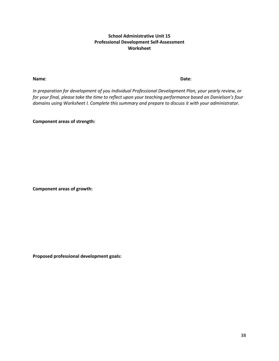## **School Administrative Unit 15 Professional Development Self-Assessment Worksheet**

**Name**: **Date**:

*In preparation for development of you Individual Professional Development Plan, your yearly review, or for your final, please take the time to reflect upon your teaching performance based on Danielson's four domains using Worksheet I. Complete this summary and prepare to discuss it with your administrator.* 

**Component areas of strength:**

**Component areas of growth:**

**Proposed professional development goals:**